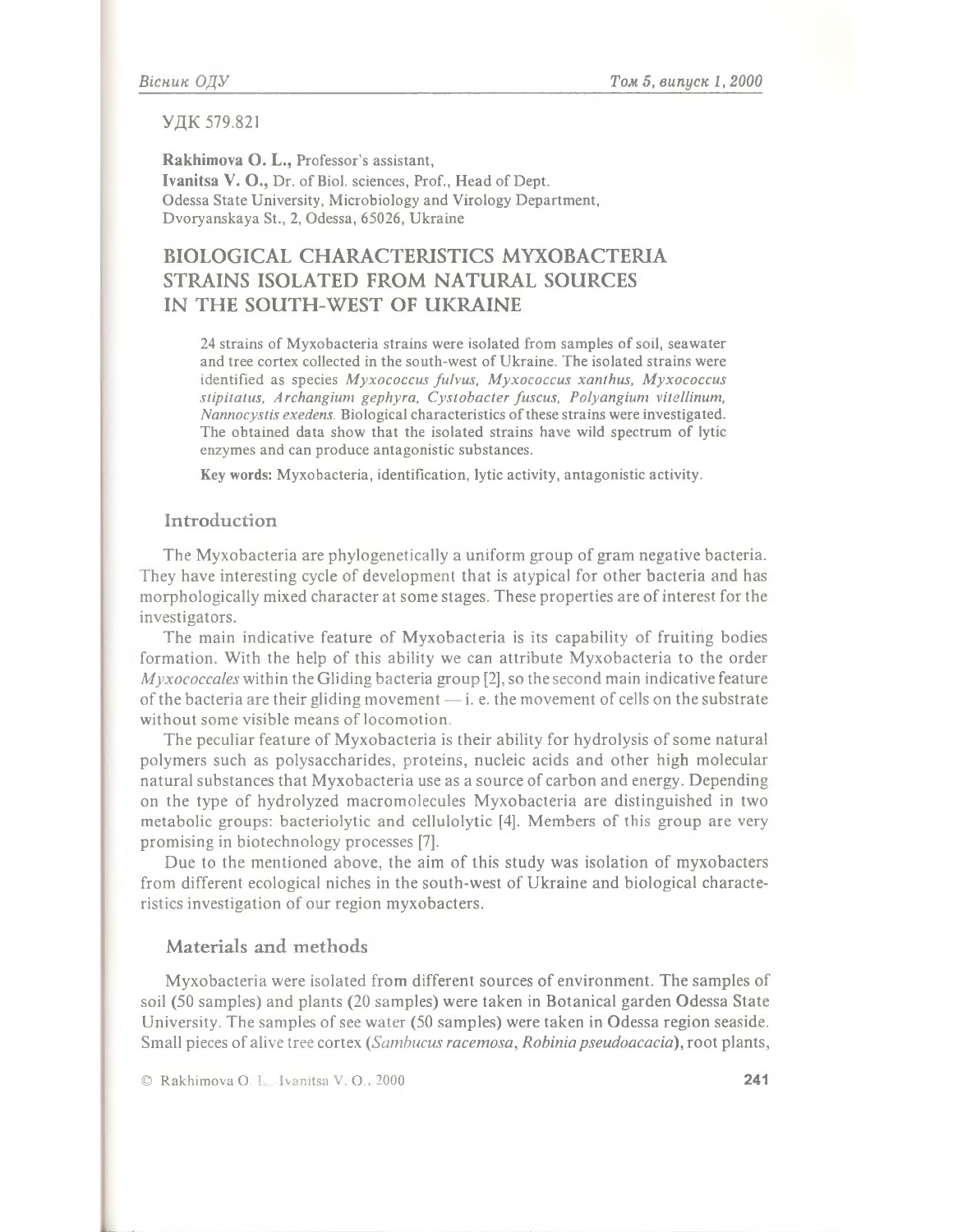## **УДК 579.821**

**Rakhimova О. L.,** Professor's assistant, Ivanitsa V. O., Dr. of Biol. sciences, Prof., Head of Dept. Odessa State University, Microbiology and Virology Department, Dvoryanskaya St., 2, Odessa, 65026, Ukraine

# BIOLOGICAL CHARACTERISTICS MYXOBACTERIA STRAINS ISOLATED FROM NATURAL SOURCES IN THE SOUTH-WEST OF UKRAINE

24 strains of Myxobacteria strains were isolated from samples of soil, seawater and tree cortex collected in the south-west of Ukraine. The isolated strains were identified as species *M yxococcus fulvus, Myxococcus xanthus, Myxococcus stipitatus, Archangium gephyra, Cystobacter fuscus, Polyangium vitellinum, Nannocystis exedens.* Biological characteristics of these strains were investigated. The obtained data show that the isolated strains have wild spectrum of lytic enzymes and can produce antagonistic substances.

Key **words:** Myxobacteria, identification, lytic activity, antagonistic activity.

## **Introduction**

**The Myxobacteria are phylogenetically a uniform group of gram negative bacteria. They have interesting cycle of development that is atypical for other bacteria and has morphologically mixed character at some stages. These properties are of interest for the investigators.**

**The main indicative feature of Myxobacteria is its capability of fruiting bodies formation. With the help of this ability we can attribute Myxobacteria to the order** *Myxococcales* **within the Gliding bacteria group [2], so the second main indicative feature of the bacteria are their gliding movement — i. e. the movement of cells on the substrate without some visible means of locomotion.**

**The peculiar feature of Myxobacteria is their ability for hydrolysis of some natural polymers such as polysaccharides, proteins, nucleic acids and other high molecular natural substances that Myxobacteria use as a source of carbon and energy. Depending on the type of hydrolyzed macromolecules Myxobacteria are distinguished in two metabolic groups: bacteriolytic and cellulolytic [4]. Members of this group are very promising in biotechnology processes [7].**

Due to the mentioned above, the aim of this study was isolation of myxobacters **from different ecological niches in the south-west of Ukraine and biological characteristics investigation of our region myxobacters.**

## Materials and methods

**Myxobacteria were isolated from different sources of environment. The samples of soil (50 samples) and plants (20 samples) were taken in Botanical garden Odessa State University. The samples of see water (50 samples) were taken in Odessa region seaside. Small pieces of alive tree cortex** *(Sambucus racemosa***,** *Robiniapseudoacacia***), root plants,**

© R akhim ova O. L. Ivanitsa V. O., 2000 241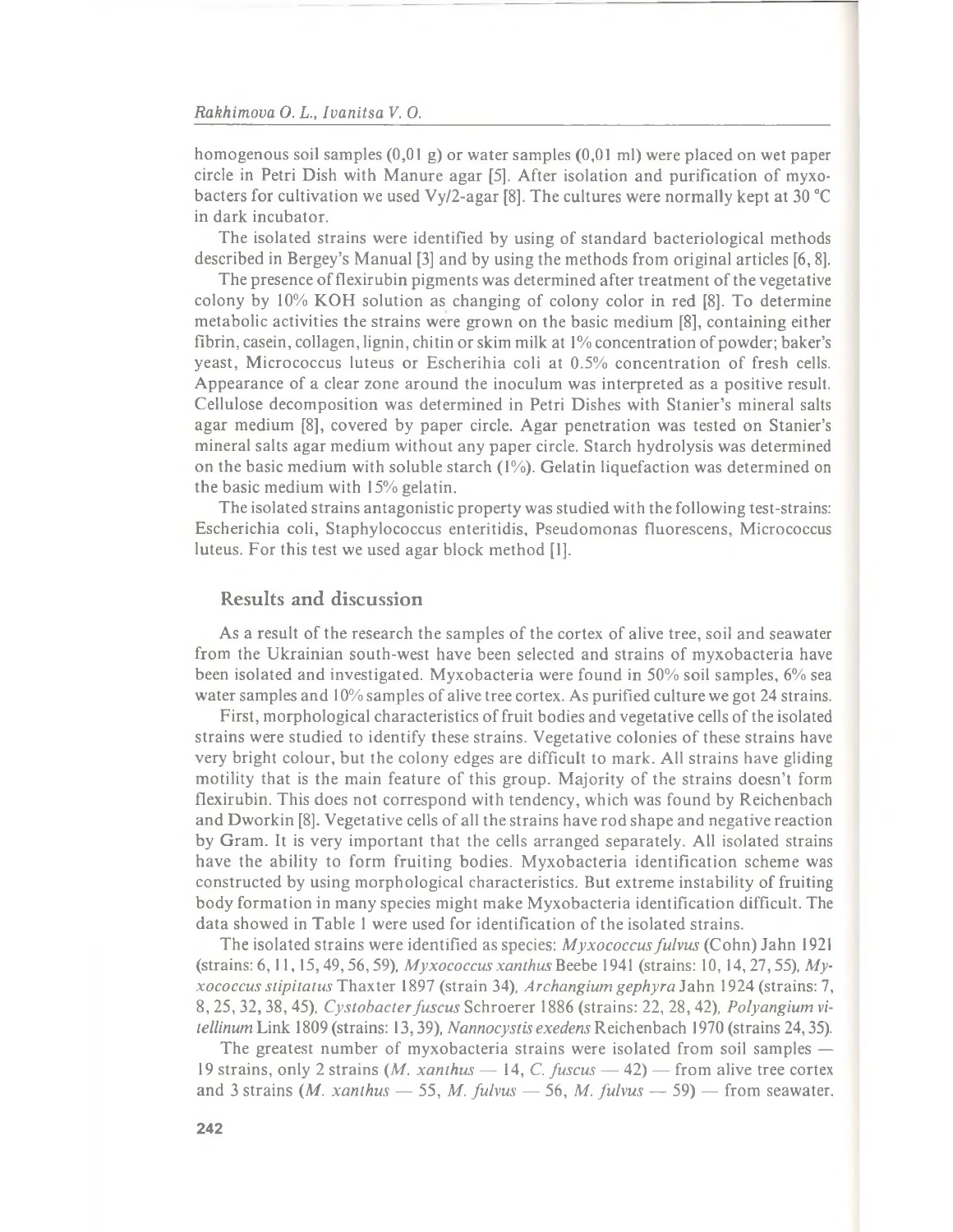**homogenous soil samples (0,01 g) or water samples (0,01 ml) were placed on wet paper** circle in Petri Dish with Manure agar [5]. After isolation and purification of myxo**bacters for cultivation we used Vy/2-agar [8]. The cultures were normally kept at 30 °С in dark incubator.**

The isolated strains were identified by using of standard bacteriological methods **described in Bergey's Manual [3] and by using the methods from original articles [6, 8].**

The presence of flexirubin pigments was determined after treatment of the vegetative colony by 10% KOH solution as changing of colony color in red [8]. To determine **metabolic activities the strains were grown on the basic medium [8], containing either** fibrin, casein, collagen, lignin, chitin or skim milk at 1% concentration of powder; baker's yeast, Micrococcus luteus or Escherihia coli at 0.5% concentration of fresh cells. **Appearance of a clear zone around the inoculum was interpreted as a positive result. Cellulose decomposition was determined in Petri Dishes with Stanier's mineral salts agar medium [8], covered by paper circle. Agar penetration was tested on Stanier's mineral salts agar medium without any paper circle. Starch hydrolysis was determined on the basic medium with soluble starch (1%). Gelatin liquefaction was determined on the basic medium with 15% gelatin.**

**The isolated strains antagonistic property was studied with the following test-strains: Escherichia coli, Staphylococcus enteritidis, Pseudomonas fluorescens, Micrococcus luteus. For this test we used agar block method [1].**

# Results and discussion

As a result of the research the samples of the cortex of alive tree, soil and seawater from the Ukrainian south-west have been selected and strains of myxobacteria have **been isolated and investigated. Myxobacteria were found in 50% soil samples, 6% sea** water samples and 10% samples of alive tree cortex. As purified culture we got 24 strains.

First, morphological characteristics of fruit bodies and vegetative cells of the isolated strains were studied to identify these strains. Vegetative colonies of these strains have **very bright colour, but the colony edges are difficult to mark. All strains have gliding** motility that is the main feature of this group. Majority of the strains doesn't form **flexirubin. This does not correspond with tendency, which was found by Reichenbach** and Dworkin [8]. Vegetative cells of all the strains have rod shape and negative reaction **by Gram. It is very important that the cells arranged separately. All isolated strains have the ability to form fruiting bodies. M yxobacteria identification scheme was** constructed by using morphological characteristics. But extreme instability of fruiting **body formation in many species might make Myxobacteria identification difficult. The** data showed in Table 1 were used for identification of the isolated strains.

**The isolated strains were identified as species:** *M yxococcus fulvus* **(Cohn) Jahn 1921 (strains: 6,11,15,49,56,59),** *M yxococcusxanthus* **Beebe 1941 (strains: 10,14,27,55),** *Myxococcus stipitatusT haxler* **1897 (strain 34),** *Archangium gephyra* **Jahn 1924 (strains: 7, 8, 25, 32, 38, 45),** *Cystobacter fuscus* **Schroerer 1886 (strains: 22, 28,42),** *Polyangium vitellinum* **Link 1809 (strains: 13,39),** *Nannocystis exedens* **Reichenbach 1970 (strains 24,35).**

The greatest number of myxobacteria strains were isolated from soil samples — **19 strains, only 2 strains (Л/.** *xanthus* **— 14, C.** *fuscus* **— 42) — from alive tree cortex** and 3 strains (*M. xanthus*  $-$  55, *M. fulvus*  $-$  56, *M. fulvus*  $-$  59)  $-$  from seawater.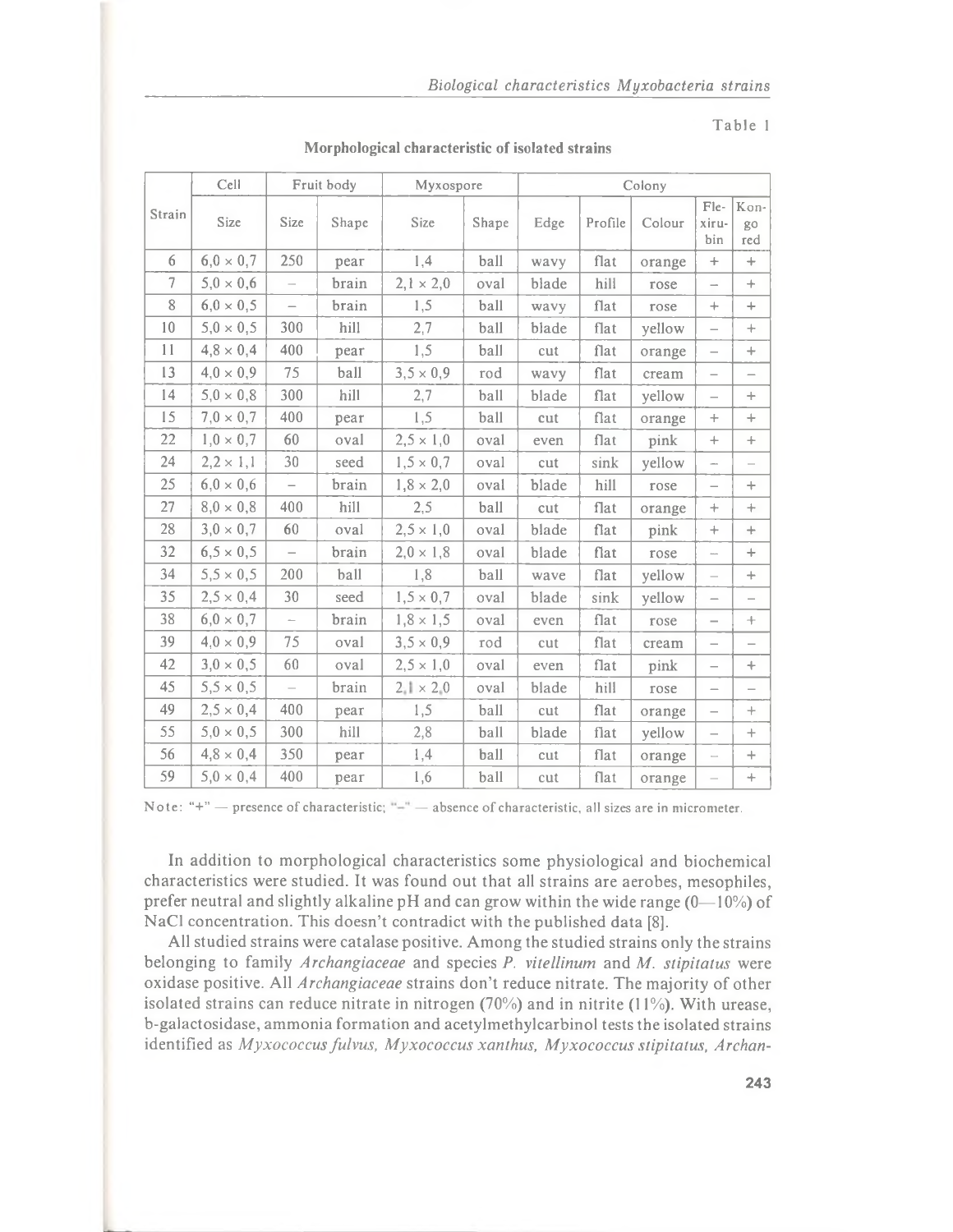#### Table 1

|                | Cell             | Fruit body               |       | Myxospore          |       | Colony |              |        |                          |                          |
|----------------|------------------|--------------------------|-------|--------------------|-------|--------|--------------|--------|--------------------------|--------------------------|
| Strain         | Size             | Size                     | Shape | Size               | Shape | Edge   | Profile      | Colour | Fle-<br>xiru-<br>bin     | Kon-<br>go<br>red        |
| 6              | $6,0 \times 0,7$ | 250                      | pear  | 1,4                | ball  | wavy   | flat         | orange | $\! +$                   | $\qquad \qquad +$        |
| $\overline{7}$ | $5,0 \times 0,6$ | $\overline{\phantom{0}}$ | brain | $2,1 \times 2,0$   | oval  | blade  | hill         | rose   | $\overline{\phantom{0}}$ | $+$                      |
| 8              | $6,0 \times 0,5$ | $\equiv$                 | brain | 1,5                | ball  | wavy   | flat         | rose   | $+$                      | $+$                      |
| 10             | $5,0 \times 0,5$ | 300                      | hill  | 2,7                | ball  | blade  | flat         | yellow | $\overline{\phantom{0}}$ | $+$                      |
| 11             | $4,8 \times 0,4$ | 400                      | pear  | 1,5                | ball  | cut    | flat         | orange | $\overline{\phantom{0}}$ | $+$                      |
| 13             | $4.0 \times 0.9$ | 75                       | ball  | $3,5 \times 0,9$   | rod   | wavy   | flat         | cream  |                          | $\qquad \qquad -$        |
| 14             | $5,0 \times 0,8$ | 300                      | hill  | 2,7                | ball  | blade  | ${\it flat}$ | yellow | $\overline{\phantom{0}}$ | $+$                      |
| 15             | $7.0 \times 0.7$ | 400                      | pear  | 1,5                | ball  | cut    | flat         | orange | $+$                      | $+$                      |
| 22             | $1,0 \times 0,7$ | 60                       | oval  | $2,5 \times 1,0$   | oval  | even   | flat         | pink   | $^{+}$                   | $+$                      |
| 24             | $2,2 \times 1,1$ | 30                       | seed  | $1,5 \times 0,7$   | oval  | cut    | sink         | yellow | $\overline{\phantom{a}}$ |                          |
| 25             | $6,0 \times 0,6$ | $\overline{\phantom{0}}$ | brain | $1,8 \times 2,0$   | oval  | blade  | hill         | rose   | $\overline{\phantom{0}}$ | $+$                      |
| 27             | $8.0 \times 0.8$ | 400                      | hill  | 2,5                | ball  | cut    | flat         | orange | $^{+}$                   | $+$                      |
| 28             | $3,0 \times 0,7$ | 60                       | oval  | $2,5 \times 1,0$   | oval  | blade  | flat         | pink   | $+$                      | $+$                      |
| 32             | $6,5 \times 0,5$ | $\equiv$                 | brain | $2,0 \times 1,8$   | oval  | blade  | flat         | rose   | i.                       | $+$                      |
| 34             | $5,5 \times 0,5$ | 200                      | ball  | 1,8                | ball  | wave   | flat         | yellow | $\frac{1}{2}$            | $+$                      |
| 35             | $2,5 \times 0,4$ | 30                       | seed  | $1, 5 \times 0, 7$ | oval  | blade  | sink         | yellow | $\qquad \qquad -$        | $\overline{\phantom{0}}$ |
| 38             | $6.0 \times 0.7$ | $\overline{\phantom{a}}$ | brain | $1,8 \times 1,5$   | oval  | even   | flat         | rose   | $\overline{\phantom{0}}$ | $+$                      |
| 39             | $4.0 \times 0.9$ | 75                       | oval  | $3,5 \times 0,9$   | rod   | cut    | flat         | cream  |                          | $\overline{\phantom{0}}$ |
| 42             | $3,0 \times 0,5$ | 60                       | oval  | $2,5 \times 1,0$   | oval  | even   | flat         | pink   |                          | ÷.                       |
| 45             | $5,5 \times 0,5$ |                          | brain | $2.1 \times 2.0$   | oval  | blade  | hill         | rose   | $\overline{\phantom{0}}$ | $\overline{\phantom{0}}$ |
| 49             | $2,5 \times 0,4$ | 400                      | pear  | 1,5                | ball  | cut    | flat         | orange | $\overline{\phantom{0}}$ | $+$                      |
| 55             | $5.0 \times 0.5$ | 300                      | hill  | 2,8                | ball  | blade  | flat         | yellow | $\overline{\phantom{0}}$ | $^{+}$                   |
| 56             | $4,8 \times 0,4$ | 350                      | pear  | 1,4                | ball  | cut    | flat         | orange | $\overline{\phantom{0}}$ | $+$                      |
| 59             | $5.0 \times 0.4$ | 400                      | pear  | 1,6                | ball  | cut    | flat         | orange |                          | ÷                        |

**Morphological characteristic of isolated strains**

Note: "+"  $-$  presence of characteristic; " $-$ "  $-$  absence of characteristic, all sizes are in micrometer.

**In addition to morphological characteristics some physiological and biochemical characteristics were studied. It was found out that all strains are aerobes, mesophiles, prefer neutral and slightly alkaline pH and can grow within the wide range (0— 10%) of NaCl concentration. This doesn't contradict with the published data [8].**

**All studied strains were catalase positive. Among the studied strains only the strains belonging to family** *Archangiaceae* **and species** *P. vitellinum* **and** *M. stipitatus* **were oxidase positive.** All *Archangiaceae* strains don't reduce nitrate. The majority of other **isolated strains can reduce nitrate in nitrogen (70%) and in nitrite (11%). With urease, b-galactosidase, ammonia formation and acetylmethylcarbinol tests the isolated strains** identified as Myxococcus fulvus, Myxococcus xanthus, Myxococcus stipitatus, Archan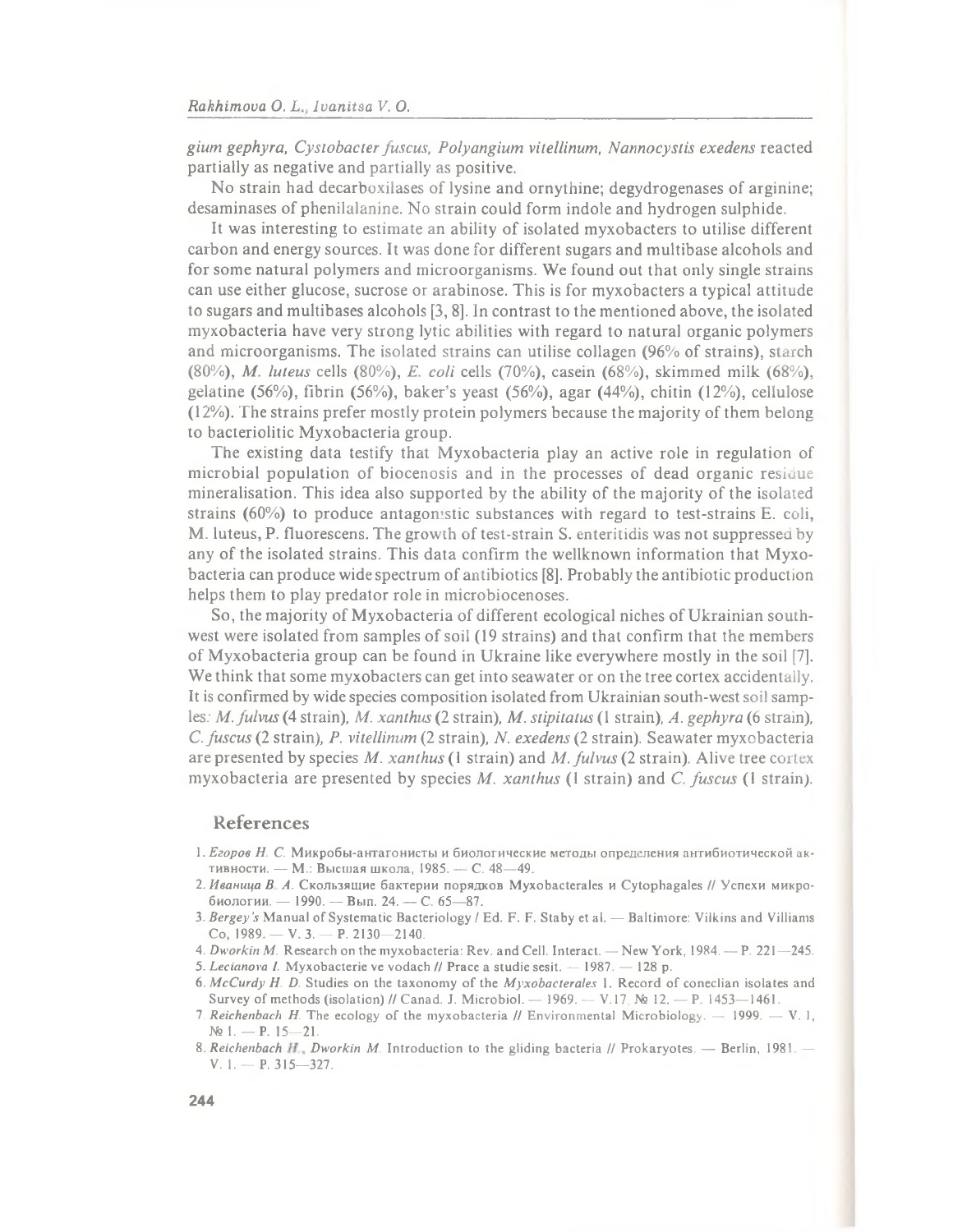*gium gephyra, Cysiobacter fuscus, Polyangium vitellinum***,** *Nannocystis exedens* **reacted partially as negative and partially as positive.**

No strain had decarboxilases of lysine and ornythine; degydrogenases of arginine; desaminases of phenilalanine. No strain could form indole and hydrogen sulphide.

It was interesting to estimate an ability of isolated myxobacters to utilise different **carbon and energy sources. It was done for different sugars and multibase alcohols and for some natural polymers and microorganisms. We found out that only single strains can use either glucose, sucrose or arabinose. This is for myxobacters a typical attitude to sugars and multibases alcohols [3,8]. In contrast to the mentioned above, the isolated myxobacteria have very strong lytic abilities with regard to natural organic polymers and microorganisms. The isolated strains can utilise collagen (96% of strains), starch (80%),** *M. luteus* **cells (80%),** *E. coli* **cells (70%), casein (68%), skimmed milk (68%), gelatine (56%), fibrin (56%), baker's yeast (56%), agar (44%), chitin (12%), cellulose (12%). The strains prefer mostly protein polymers because the majority of them belong to bacteriolitic Myxobacteria group.**

**The existing data testify that Myxobacteria play an active role in regulation of** microbial population of biocenosis and in the processes of dead organic residue **mineralisation. This idea also supported by the ability of the majority of the isolated strains (60%) to produce antagonistic substances with regard to test-strains E. coli, M. luteus, P. fluorescens. The growth of test-strain S. enteritidis was not suppressed by** any of the isolated strains. This data confirm the wellknown information that Myxo**bacteria can produce wide spectrum of antibiotics [8]. Probably the antibiotic production helps them to play predator role in microbiocenoses.**

**So, the majority of Myxobacteria of different ecological niches of Ukrainian southwest were isolated from samples of soil (19 strains) and that confirm that the members of Myxobacteria group can be found in Ukraine like everywhere mostly in the soil [7]. We think that some myxobacters can get into seawater or on the tree cortex accidentally. It is confirmed by wide species composition isolated from Ukrainian south-west soil samples:** *M. fulvus* **(4 strain),** *M. xanthus* **(2 strain),** *M. stipitatus* **(1 strain),** *A. gephyra* **(6 strain),** *C. fuscus* **(2 strain),** *P. vitellinum* **(2 strain),** *N. exedens* **(2 strain). Seawater myxobacteria are presented by species** *M. xanthus* **(1 strain) and** *M. fulvus* **(2 strain). Alive tree** cortex **myxobacteria are presented by species** *M. xanthus* **(1 strain) and C.** *fuscus* **(1 strain).**

### References

- 1. *Егоров H. С.* Микробы-антагонисты и биологические методы определения антибиотической активности. — М.: Высшая школа, 1985. — С. 48—49.
- 2. *Иваница В Л.* Скользящие бактерии порядков Myxobacterales и Cytophagales // Успехи микробиологии. — 1990. — Вып. 24. — С. 65—87.
- 3. *Bergey's* Manual of Systematic Bacteriology / Ed. F. F. Staby et al. Baltimore: Vilkins and Villiams Co, 1989. — V. 3. — P. 2130—2140.
- 4. *Dworkin M.* Research on the myxobacteria: Rev. and Cell. Interact. New York, 1984. P. 221—245.
- 5. *Lecianova I.* Myxobacterie ve vodach // Prace a studie sesit. 1987. 128 p.
- 6. *McCurdy H. D.* Studies on the taxonomy of the *Myxobacterales* 1. Record of coneclian isolates and Survey of methods (isolation) // Canad. J. Microbiol. — 1969. — V.17, № 12. — P. 1453—1461.

<sup>7.</sup> *Reichenbach H.* The ecology of the myxobacteria // Environmental Microbiology. — 1999. — V. 1, № 1. — P. 15—21.

<sup>8.</sup> *Reichenbach Dworkin M.* Introduction to the gliding bacteria // Prokaryotes. — Berlin, 1981. — V. 1. — P. 315—327.